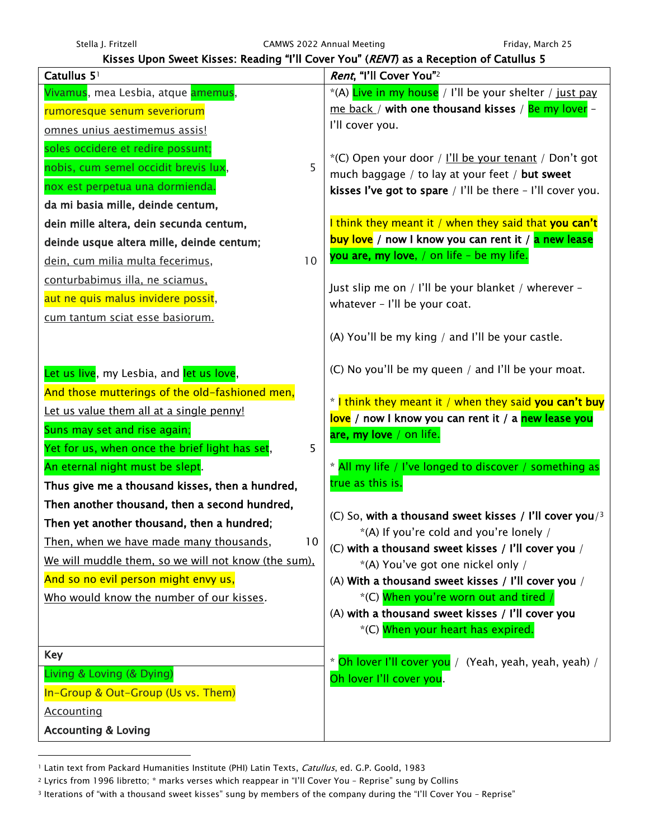Kisses Upon Sweet Kisses: Reading "I'll Cover You" (RENT) as a Reception of Catullus 5

| Catullus 5 <sup>1</sup>                             | Rent, "I'll Cover You"2                                                                                       |
|-----------------------------------------------------|---------------------------------------------------------------------------------------------------------------|
| Vivamus, mea Lesbia, atque amemus,                  | *(A) Live in my house / I'll be your shelter / just pay                                                       |
| rumoresque senum severiorum                         | me back / with one thousand kisses / $Be$ my lover -                                                          |
| omnes unius aestimemus assis!                       | I'll cover you.                                                                                               |
| soles occidere et redire possunt;                   |                                                                                                               |
| 5<br>nobis, cum semel occidit brevis lux,           | *(C) Open your door / I'll be your tenant / Don't got<br>much baggage / to lay at your feet / but sweet       |
| nox est perpetua una dormienda.                     | kisses I've got to spare $/$ I'll be there $-$ I'll cover you.                                                |
| da mi basia mille, deinde centum,                   |                                                                                                               |
| dein mille altera, dein secunda centum,             | I think they meant it / when they said that you can't                                                         |
| deinde usque altera mille, deinde centum;           | buy love / now I know you can rent it / a new lease                                                           |
| 10<br>dein, cum milia multa fecerimus,              | you are, my love, / on life - be my life.                                                                     |
| conturbabimus illa, ne sciamus,                     |                                                                                                               |
| aut ne quis malus invidere possit,                  | Just slip me on / I'll be your blanket / wherever -<br>whatever - I'll be your coat.                          |
| cum tantum sciat esse basiorum.                     |                                                                                                               |
|                                                     | (A) You'll be my king / and I'll be your castle.                                                              |
|                                                     |                                                                                                               |
| Let us live, my Lesbia, and let us love,            | (C) No you'll be my queen / and I'll be your moat.                                                            |
| And those mutterings of the old-fashioned men,      |                                                                                                               |
| Let us value them all at a single penny!            | * I think they meant it / when they said you can't buy<br>love / now I know you can rent it / a new lease you |
| Suns may set and rise again;                        | are, my love / on life.                                                                                       |
| Yet for us, when once the brief light has set,<br>5 |                                                                                                               |
| An eternal night must be slept.                     | * All my life / I've longed to discover / something as                                                        |
| Thus give me a thousand kisses, then a hundred,     | true as this is.                                                                                              |
| Then another thousand, then a second hundred,       |                                                                                                               |
| Then yet another thousand, then a hundred;          | (C) So, with a thousand sweet kisses / I'll cover you $/3$                                                    |
| Then, when we have made many thousands,<br>10       | $*(A)$ If you're cold and you're lonely /<br>(C) with a thousand sweet kisses / I'll cover you /              |
| We will muddle them, so we will not know (the sum), | *(A) You've got one nickel only /                                                                             |
| And so no evil person might envy us,                | (A) With a thousand sweet kisses / I'll cover you /                                                           |
| Who would know the number of our kisses.            | *(C) When you're worn out and tired /                                                                         |
|                                                     | (A) with a thousand sweet kisses / I'll cover you                                                             |
|                                                     | *(C) When your heart has expired.                                                                             |
| <b>Key</b>                                          |                                                                                                               |
| Living & Loving (& Dying)                           | Oh lover I'll cover you / (Yeah, yeah, yeah, yeah) /<br>Oh lover I'll cover you.                              |
| In-Group & Out-Group (Us vs. Them)                  |                                                                                                               |
| Accounting                                          |                                                                                                               |
| <b>Accounting &amp; Loving</b>                      |                                                                                                               |

<sup>&</sup>lt;sup>1</sup> Latin text from Packard Humanities Institute (PHI) Latin Texts, Catullus, ed. G.P. Goold, 1983

<sup>2</sup> Lyrics from 1996 libretto; \* marks verses which reappear in "I'll Cover You – Reprise" sung by Collins

<sup>3</sup> Iterations of "with a thousand sweet kisses" sung by members of the company during the "I'll Cover You – Reprise"